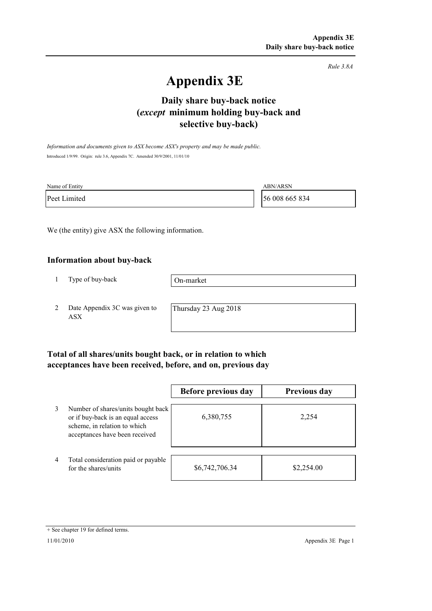*Rule 3.8A*

# **Appendix 3E**

## **selective buy-back) Daily share buy-back notice (***except* **minimum holding buy-back and**

*Information and documents given to ASX become ASX's property and may be made public.* Introduced 1/9/99. Origin: rule 3.6, Appendix 7C. Amended 30/9/2001, 11/01/10

| Name of Entity | <b>ABN/ARSN</b> |
|----------------|-----------------|
| Peet Limited   | 56 008 665 834  |

We (the entity) give ASX the following information.

#### **Information about buy-back**

1 Type of buy-back

On-market

2 Date Appendix 3C was given to ASX

Thursday 23 Aug 2018

### **Total of all shares/units bought back, or in relation to which acceptances have been received, before, and on, previous day**

|                |                                                                                                                                           | Before previous day | <b>Previous day</b> |
|----------------|-------------------------------------------------------------------------------------------------------------------------------------------|---------------------|---------------------|
| 3              | Number of shares/units bought back<br>or if buy-back is an equal access<br>scheme, in relation to which<br>acceptances have been received | 6,380,755           | 2,254               |
| $\overline{4}$ | Total consideration paid or payable<br>for the shares/units                                                                               | \$6,742,706.34      | \$2,254.00          |

<sup>+</sup> See chapter 19 for defined terms.